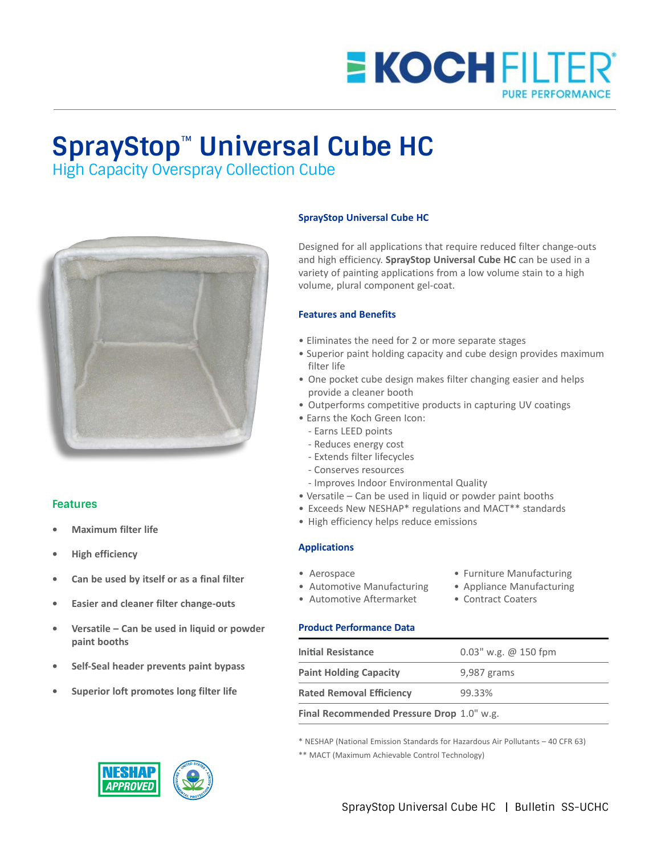

# **SprayStop**™ **Universal Cube HC**

High Capacity Overspray Collection Cube



### **Features**

- **• Maximum filter life**
- **• High efficiency**
- **• Can be used by itself or as a final filter**
- **• Easier and cleaner filter change-outs**
- **• Versatile Can be used in liquid or powder paint booths**
- **• Self-Seal header prevents paint bypass**
- **• Superior loft promotes long filter life**



#### **SprayStop Universal Cube HC**

Designed for all applications that require reduced filter change-outs and high efficiency. **SprayStop Universal Cube HC** can be used in a variety of painting applications from a low volume stain to a high volume, plural component gel-coat.

#### **Features and Benefits**

- Eliminates the need for 2 or more separate stages
- Superior paint holding capacity and cube design provides maximum filter life
- One pocket cube design makes filter changing easier and helps provide a cleaner booth
- Outperforms competitive products in capturing UV coatings
- Earns the Koch Green Icon:
	- Earns LEED points
	- Reduces energy cost
	- Extends filter lifecycles
	- Conserves resources
	- Improves Indoor Environmental Quality
- Versatile Can be used in liquid or powder paint booths
- Exceeds New NESHAP\* regulations and MACT\*\* standards
- High efficiency helps reduce emissions

#### **Applications**

- 
- Aerospace **Furniture Manufacturing**
- Automotive Manufacturing Appliance Manufacturing
- Automotive Aftermarket Contract Coaters
- 

#### **Product Performance Data**

| <b>Initial Resistance</b>                 | $0.03$ " w.g. @ 150 fpm |  |
|-------------------------------------------|-------------------------|--|
| <b>Paint Holding Capacity</b>             | 9,987 grams             |  |
| <b>Rated Removal Efficiency</b>           | 99.33%                  |  |
| Final Recommended Pressure Drop 1.0" w.g. |                         |  |

\* NESHAP (National Emission Standards for Hazardous Air Pollutants – 40 CFR 63)

\*\* MACT (Maximum Achievable Control Technology)